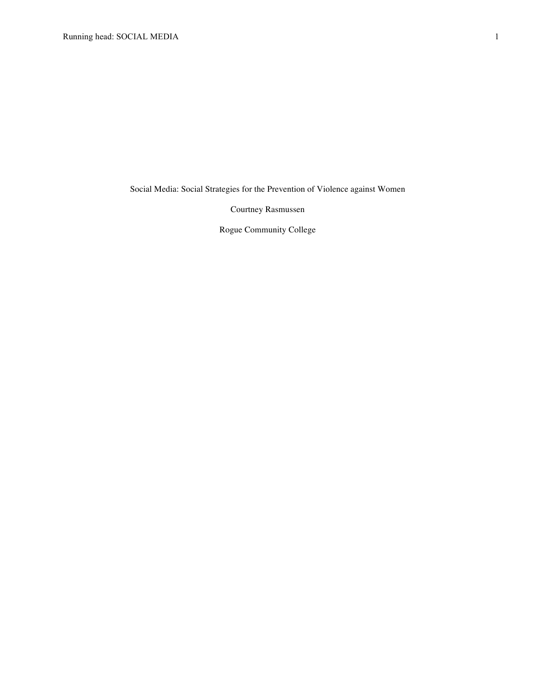Social Media: Social Strategies for the Prevention of Violence against Women

Courtney Rasmussen

Rogue Community College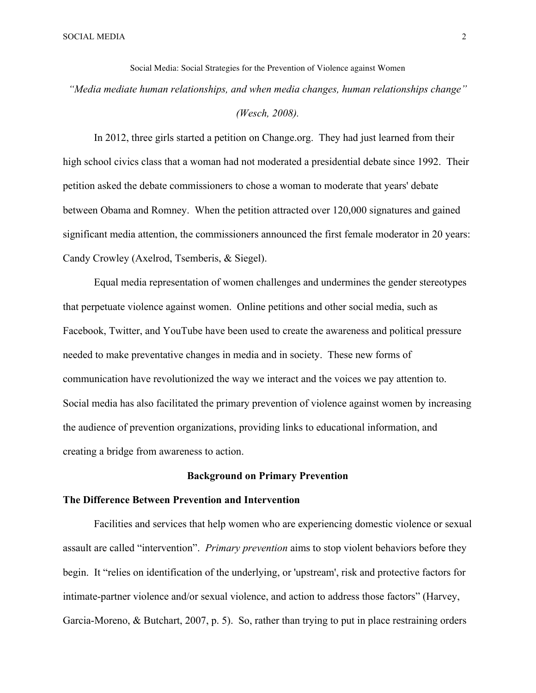Social Media: Social Strategies for the Prevention of Violence against Women *"Media mediate human relationships, and when media changes, human relationships change"* 

# *(Wesch, 2008).*

In 2012, three girls started a petition on Change.org. They had just learned from their high school civics class that a woman had not moderated a presidential debate since 1992. Their petition asked the debate commissioners to chose a woman to moderate that years' debate between Obama and Romney. When the petition attracted over 120,000 signatures and gained significant media attention, the commissioners announced the first female moderator in 20 years: Candy Crowley (Axelrod, Tsemberis, & Siegel).

Equal media representation of women challenges and undermines the gender stereotypes that perpetuate violence against women. Online petitions and other social media, such as Facebook, Twitter, and YouTube have been used to create the awareness and political pressure needed to make preventative changes in media and in society. These new forms of communication have revolutionized the way we interact and the voices we pay attention to. Social media has also facilitated the primary prevention of violence against women by increasing the audience of prevention organizations, providing links to educational information, and creating a bridge from awareness to action.

### **Background on Primary Prevention**

### **The Difference Between Prevention and Intervention**

Facilities and services that help women who are experiencing domestic violence or sexual assault are called "intervention". *Primary prevention* aims to stop violent behaviors before they begin. It "relies on identification of the underlying, or 'upstream', risk and protective factors for intimate-partner violence and/or sexual violence, and action to address those factors" (Harvey, Garcia-Moreno, & Butchart, 2007, p. 5). So, rather than trying to put in place restraining orders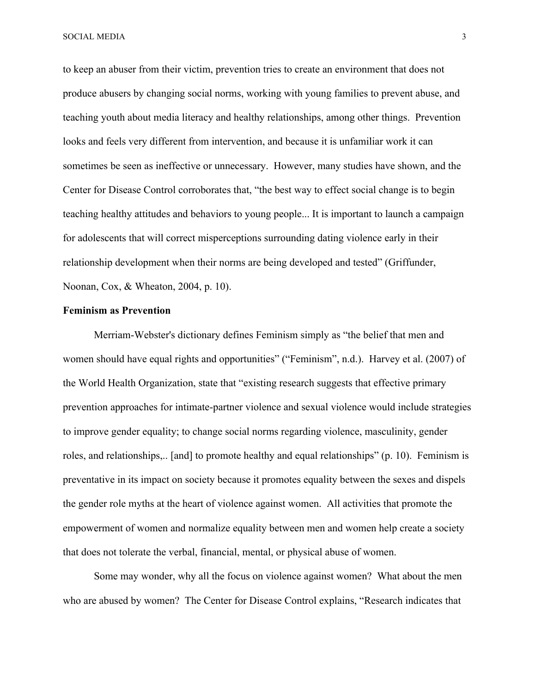SOCIAL MEDIA 3

to keep an abuser from their victim, prevention tries to create an environment that does not produce abusers by changing social norms, working with young families to prevent abuse, and teaching youth about media literacy and healthy relationships, among other things. Prevention looks and feels very different from intervention, and because it is unfamiliar work it can sometimes be seen as ineffective or unnecessary. However, many studies have shown, and the Center for Disease Control corroborates that, "the best way to effect social change is to begin teaching healthy attitudes and behaviors to young people... It is important to launch a campaign for adolescents that will correct misperceptions surrounding dating violence early in their relationship development when their norms are being developed and tested" (Griffunder, Noonan, Cox, & Wheaton, 2004, p. 10).

### **Feminism as Prevention**

Merriam-Webster's dictionary defines Feminism simply as "the belief that men and women should have equal rights and opportunities" ("Feminism", n.d.). Harvey et al. (2007) of the World Health Organization, state that "existing research suggests that effective primary prevention approaches for intimate-partner violence and sexual violence would include strategies to improve gender equality; to change social norms regarding violence, masculinity, gender roles, and relationships,.. [and] to promote healthy and equal relationships" (p. 10). Feminism is preventative in its impact on society because it promotes equality between the sexes and dispels the gender role myths at the heart of violence against women. All activities that promote the empowerment of women and normalize equality between men and women help create a society that does not tolerate the verbal, financial, mental, or physical abuse of women.

Some may wonder, why all the focus on violence against women? What about the men who are abused by women? The Center for Disease Control explains, "Research indicates that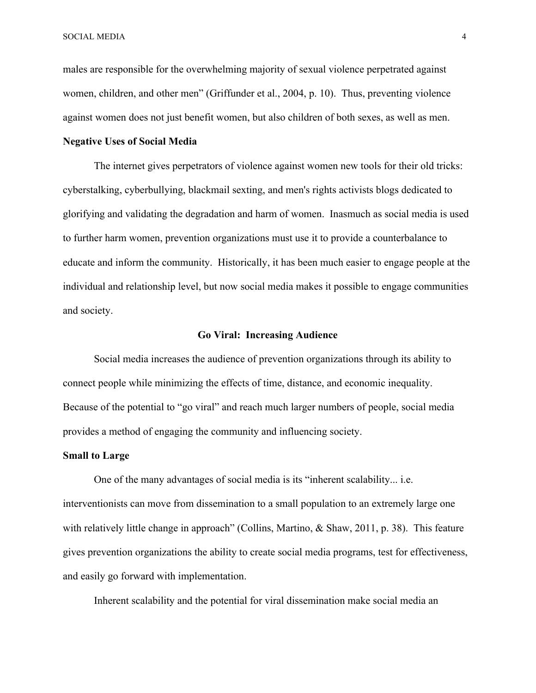SOCIAL MEDIA 4

males are responsible for the overwhelming majority of sexual violence perpetrated against women, children, and other men" (Griffunder et al., 2004, p. 10). Thus, preventing violence against women does not just benefit women, but also children of both sexes, as well as men.

# **Negative Uses of Social Media**

The internet gives perpetrators of violence against women new tools for their old tricks: cyberstalking, cyberbullying, blackmail sexting, and men's rights activists blogs dedicated to glorifying and validating the degradation and harm of women. Inasmuch as social media is used to further harm women, prevention organizations must use it to provide a counterbalance to educate and inform the community. Historically, it has been much easier to engage people at the individual and relationship level, but now social media makes it possible to engage communities and society.

#### **Go Viral: Increasing Audience**

Social media increases the audience of prevention organizations through its ability to connect people while minimizing the effects of time, distance, and economic inequality. Because of the potential to "go viral" and reach much larger numbers of people, social media provides a method of engaging the community and influencing society.

#### **Small to Large**

One of the many advantages of social media is its "inherent scalability... i.e. interventionists can move from dissemination to a small population to an extremely large one with relatively little change in approach" (Collins, Martino, & Shaw, 2011, p. 38). This feature gives prevention organizations the ability to create social media programs, test for effectiveness, and easily go forward with implementation.

Inherent scalability and the potential for viral dissemination make social media an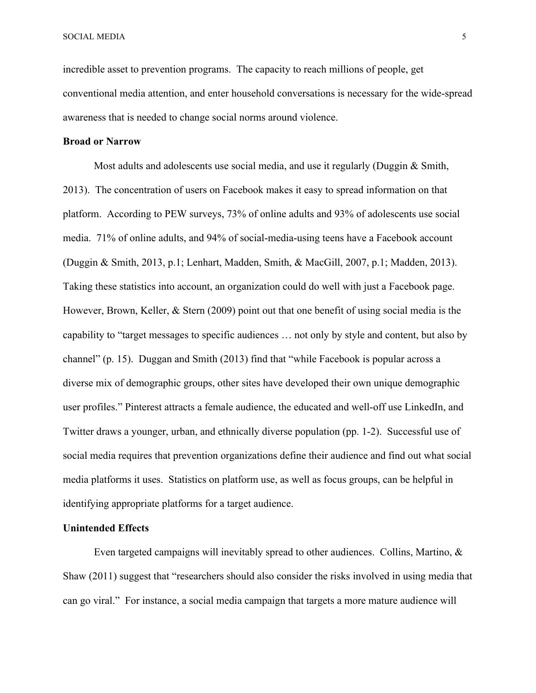incredible asset to prevention programs. The capacity to reach millions of people, get conventional media attention, and enter household conversations is necessary for the wide-spread awareness that is needed to change social norms around violence.

# **Broad or Narrow**

Most adults and adolescents use social media, and use it regularly (Duggin & Smith, 2013). The concentration of users on Facebook makes it easy to spread information on that platform. According to PEW surveys, 73% of online adults and 93% of adolescents use social media. 71% of online adults, and 94% of social-media-using teens have a Facebook account (Duggin & Smith, 2013, p.1; Lenhart, Madden, Smith, & MacGill, 2007, p.1; Madden, 2013). Taking these statistics into account, an organization could do well with just a Facebook page. However, Brown, Keller, & Stern (2009) point out that one benefit of using social media is the capability to "target messages to specific audiences … not only by style and content, but also by channel" (p. 15). Duggan and Smith (2013) find that "while Facebook is popular across a diverse mix of demographic groups, other sites have developed their own unique demographic user profiles." Pinterest attracts a female audience, the educated and well-off use LinkedIn, and Twitter draws a younger, urban, and ethnically diverse population (pp. 1-2). Successful use of social media requires that prevention organizations define their audience and find out what social media platforms it uses. Statistics on platform use, as well as focus groups, can be helpful in identifying appropriate platforms for a target audience.

#### **Unintended Effects**

Even targeted campaigns will inevitably spread to other audiences. Collins, Martino, & Shaw (2011) suggest that "researchers should also consider the risks involved in using media that can go viral." For instance, a social media campaign that targets a more mature audience will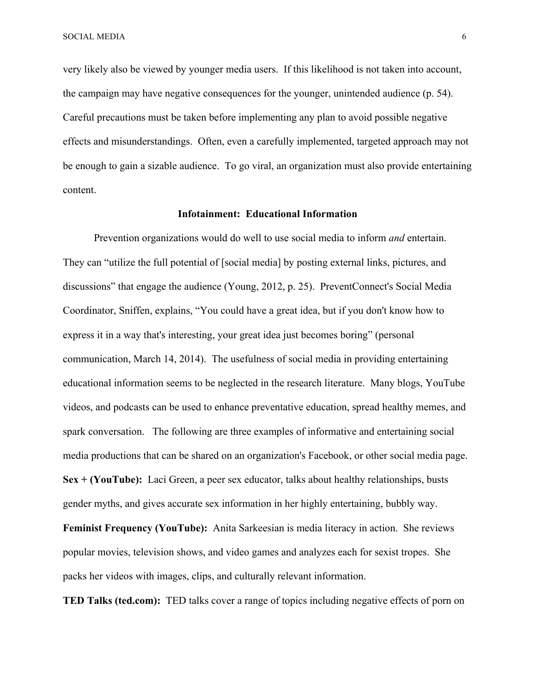very likely also be viewed by younger media users. If this likelihood is not taken into account, the campaign may have negative consequences for the younger, unintended audience (p. 54). Careful precautions must be taken before implementing any plan to avoid possible negative effects and misunderstandings. Often, even a carefully implemented, targeted approach may not be enough to gain a sizable audience. To go viral, an organization must also provide entertaining content.

#### **Infotainment: Educational Information**

Prevention organizations would do well to use social media to inform *and* entertain. They can "utilize the full potential of [social media] by posting external links, pictures, and discussions" that engage the audience (Young, 2012, p. 25). PreventConnect's Social Media Coordinator, Sniffen, explains, "You could have a great idea, but if you don't know how to express it in a way that's interesting, your great idea just becomes boring" (personal communication, March 14, 2014). The usefulness of social media in providing entertaining educational information seems to be neglected in the research literature. Many blogs, YouTube videos, and podcasts can be used to enhance preventative education, spread healthy memes, and spark conversation. The following are three examples of informative and entertaining social media productions that can be shared on an organization's Facebook, or other social media page. **Sex + (YouTube):** Laci Green, a peer sex educator, talks about healthy relationships, busts gender myths, and gives accurate sex information in her highly entertaining, bubbly way. **Feminist Frequency (YouTube):** Anita Sarkeesian is media literacy in action. She reviews

popular movies, television shows, and video games and analyzes each for sexist tropes. She packs her videos with images, clips, and culturally relevant information.

**TED Talks (ted.com):** TED talks cover a range of topics including negative effects of porn on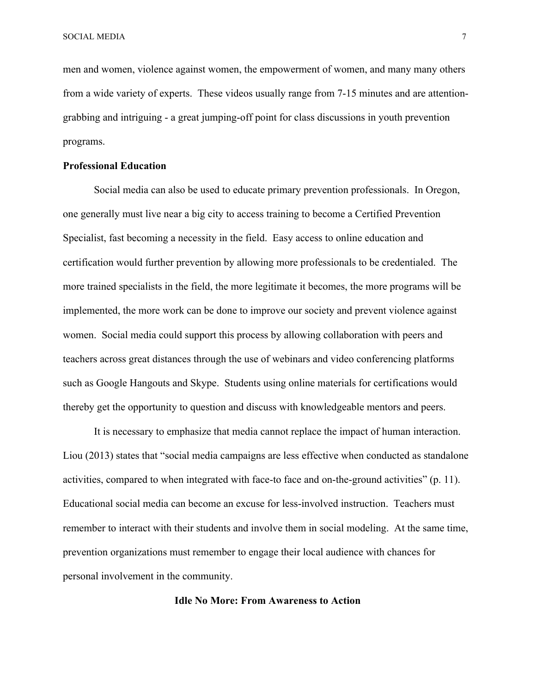men and women, violence against women, the empowerment of women, and many many others from a wide variety of experts. These videos usually range from 7-15 minutes and are attentiongrabbing and intriguing - a great jumping-off point for class discussions in youth prevention programs.

# **Professional Education**

Social media can also be used to educate primary prevention professionals. In Oregon, one generally must live near a big city to access training to become a Certified Prevention Specialist, fast becoming a necessity in the field. Easy access to online education and certification would further prevention by allowing more professionals to be credentialed. The more trained specialists in the field, the more legitimate it becomes, the more programs will be implemented, the more work can be done to improve our society and prevent violence against women. Social media could support this process by allowing collaboration with peers and teachers across great distances through the use of webinars and video conferencing platforms such as Google Hangouts and Skype. Students using online materials for certifications would thereby get the opportunity to question and discuss with knowledgeable mentors and peers.

It is necessary to emphasize that media cannot replace the impact of human interaction. Liou (2013) states that "social media campaigns are less effective when conducted as standalone activities, compared to when integrated with face-to face and on-the-ground activities" (p. 11). Educational social media can become an excuse for less-involved instruction. Teachers must remember to interact with their students and involve them in social modeling. At the same time, prevention organizations must remember to engage their local audience with chances for personal involvement in the community.

# **Idle No More: From Awareness to Action**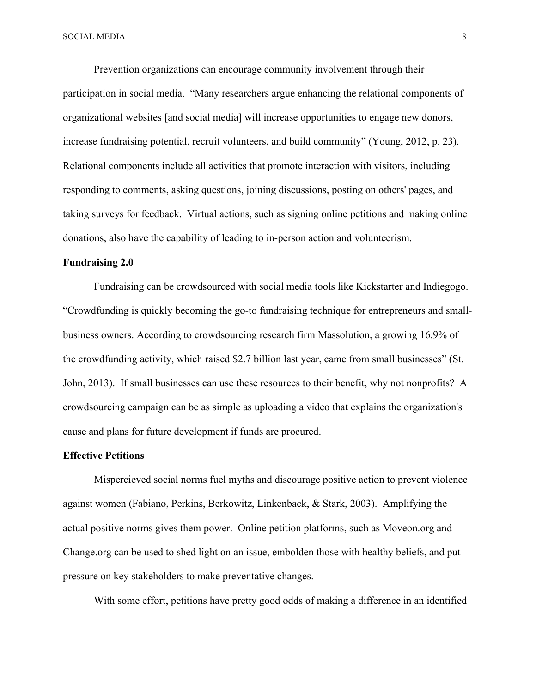Prevention organizations can encourage community involvement through their participation in social media. "Many researchers argue enhancing the relational components of organizational websites [and social media] will increase opportunities to engage new donors, increase fundraising potential, recruit volunteers, and build community" (Young, 2012, p. 23). Relational components include all activities that promote interaction with visitors, including responding to comments, asking questions, joining discussions, posting on others' pages, and taking surveys for feedback. Virtual actions, such as signing online petitions and making online donations, also have the capability of leading to in-person action and volunteerism.

#### **Fundraising 2.0**

Fundraising can be crowdsourced with social media tools like Kickstarter and Indiegogo. "Crowdfunding is quickly becoming the go-to fundraising technique for entrepreneurs and smallbusiness owners. According to crowdsourcing research firm Massolution, a growing 16.9% of the crowdfunding activity, which raised \$2.7 billion last year, came from small businesses" (St. John, 2013). If small businesses can use these resources to their benefit, why not nonprofits? A crowdsourcing campaign can be as simple as uploading a video that explains the organization's cause and plans for future development if funds are procured.

#### **Effective Petitions**

Mispercieved social norms fuel myths and discourage positive action to prevent violence against women (Fabiano, Perkins, Berkowitz, Linkenback, & Stark, 2003). Amplifying the actual positive norms gives them power. Online petition platforms, such as Moveon.org and Change.org can be used to shed light on an issue, embolden those with healthy beliefs, and put pressure on key stakeholders to make preventative changes.

With some effort, petitions have pretty good odds of making a difference in an identified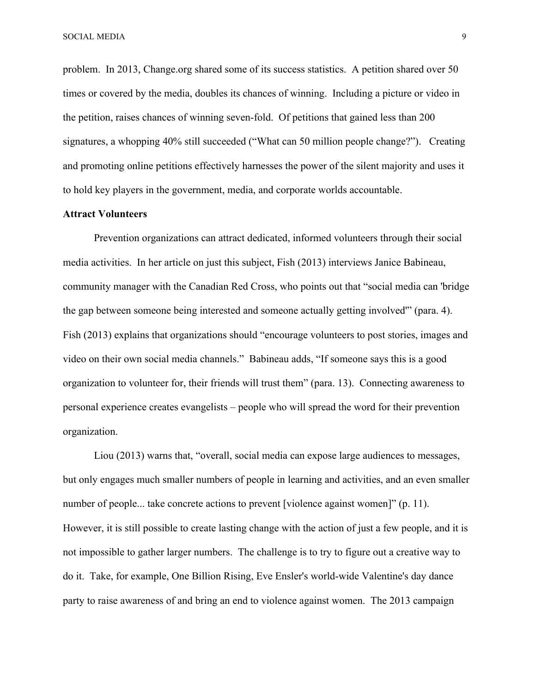problem. In 2013, Change.org shared some of its success statistics. A petition shared over 50 times or covered by the media, doubles its chances of winning. Including a picture or video in the petition, raises chances of winning seven-fold. Of petitions that gained less than 200 signatures, a whopping 40% still succeeded ("What can 50 million people change?"). Creating and promoting online petitions effectively harnesses the power of the silent majority and uses it to hold key players in the government, media, and corporate worlds accountable.

#### **Attract Volunteers**

Prevention organizations can attract dedicated, informed volunteers through their social media activities. In her article on just this subject, Fish (2013) interviews Janice Babineau, community manager with the Canadian Red Cross, who points out that "social media can 'bridge the gap between someone being interested and someone actually getting involved'" (para. 4). Fish (2013) explains that organizations should "encourage volunteers to post stories, images and video on their own social media channels." Babineau adds, "If someone says this is a good organization to volunteer for, their friends will trust them" (para. 13). Connecting awareness to personal experience creates evangelists – people who will spread the word for their prevention organization.

Liou (2013) warns that, "overall, social media can expose large audiences to messages, but only engages much smaller numbers of people in learning and activities, and an even smaller number of people... take concrete actions to prevent [violence against women]" (p. 11). However, it is still possible to create lasting change with the action of just a few people, and it is not impossible to gather larger numbers. The challenge is to try to figure out a creative way to do it. Take, for example, One Billion Rising, Eve Ensler's world-wide Valentine's day dance party to raise awareness of and bring an end to violence against women. The 2013 campaign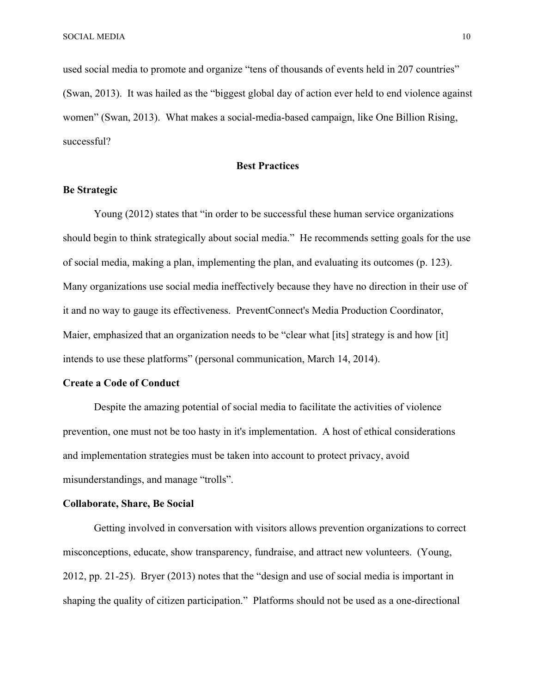used social media to promote and organize "tens of thousands of events held in 207 countries" (Swan, 2013). It was hailed as the "biggest global day of action ever held to end violence against women" (Swan, 2013). What makes a social-media-based campaign, like One Billion Rising, successful?

# **Best Practices**

## **Be Strategic**

Young (2012) states that "in order to be successful these human service organizations should begin to think strategically about social media." He recommends setting goals for the use of social media, making a plan, implementing the plan, and evaluating its outcomes (p. 123). Many organizations use social media ineffectively because they have no direction in their use of it and no way to gauge its effectiveness. PreventConnect's Media Production Coordinator, Maier, emphasized that an organization needs to be "clear what [its] strategy is and how [it] intends to use these platforms" (personal communication, March 14, 2014).

### **Create a Code of Conduct**

Despite the amazing potential of social media to facilitate the activities of violence prevention, one must not be too hasty in it's implementation. A host of ethical considerations and implementation strategies must be taken into account to protect privacy, avoid misunderstandings, and manage "trolls".

#### **Collaborate, Share, Be Social**

Getting involved in conversation with visitors allows prevention organizations to correct misconceptions, educate, show transparency, fundraise, and attract new volunteers. (Young, 2012, pp. 21-25). Bryer (2013) notes that the "design and use of social media is important in shaping the quality of citizen participation." Platforms should not be used as a one-directional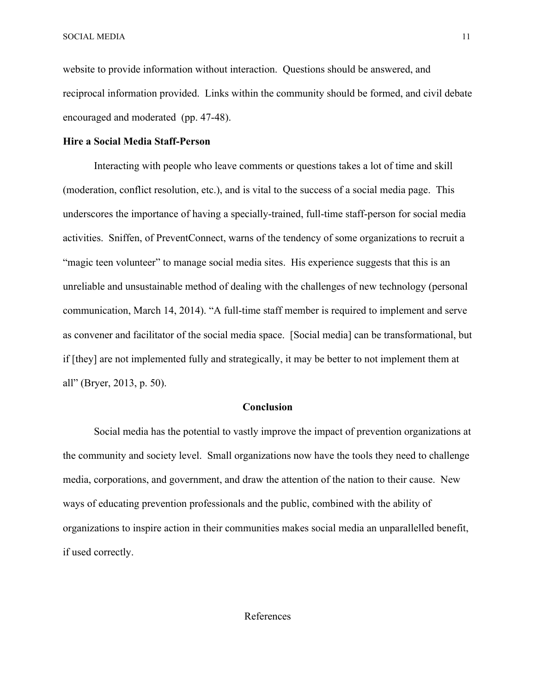SOCIAL MEDIA 11

website to provide information without interaction. Questions should be answered, and reciprocal information provided. Links within the community should be formed, and civil debate encouraged and moderated (pp. 47-48).

# **Hire a Social Media Staff-Person**

Interacting with people who leave comments or questions takes a lot of time and skill (moderation, conflict resolution, etc.), and is vital to the success of a social media page. This underscores the importance of having a specially-trained, full-time staff-person for social media activities. Sniffen, of PreventConnect, warns of the tendency of some organizations to recruit a "magic teen volunteer" to manage social media sites. His experience suggests that this is an unreliable and unsustainable method of dealing with the challenges of new technology (personal communication, March 14, 2014). "A full-time staff member is required to implement and serve as convener and facilitator of the social media space. [Social media] can be transformational, but if [they] are not implemented fully and strategically, it may be better to not implement them at all" (Bryer, 2013, p. 50).

# **Conclusion**

Social media has the potential to vastly improve the impact of prevention organizations at the community and society level. Small organizations now have the tools they need to challenge media, corporations, and government, and draw the attention of the nation to their cause. New ways of educating prevention professionals and the public, combined with the ability of organizations to inspire action in their communities makes social media an unparallelled benefit, if used correctly.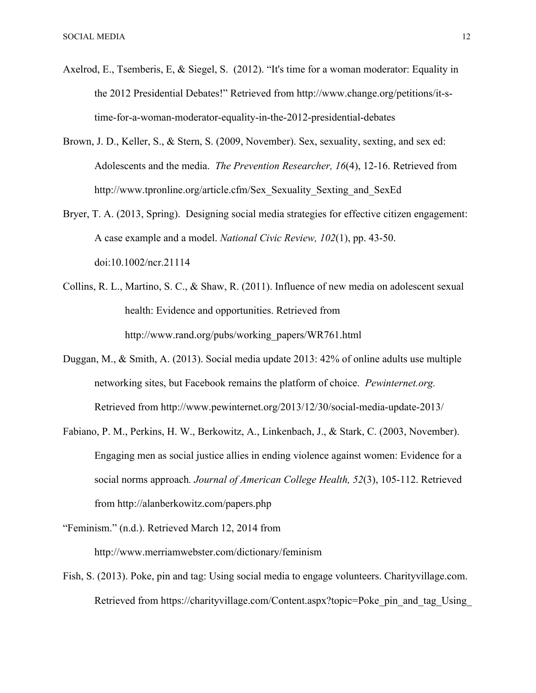- Axelrod, E., Tsemberis, E, & Siegel, S. (2012). "It's time for a woman moderator: Equality in the 2012 Presidential Debates!" Retrieved from http://www.change.org/petitions/it-stime-for-a-woman-moderator-equality-in-the-2012-presidential-debates
- Brown, J. D., Keller, S., & Stern, S. (2009, November). Sex, sexuality, sexting, and sex ed: Adolescents and the media. *The Prevention Researcher, 16*(4), 12-16. Retrieved from http://www.tpronline.org/article.cfm/Sex\_Sexuality\_Sexting\_and\_SexEd
- Bryer, T. A. (2013, Spring). Designing social media strategies for effective citizen engagement: A case example and a model. *National Civic Review, 102*(1), pp. 43-50. doi:10.1002/ncr.21114
- Collins, R. L., Martino, S. C., & Shaw, R. (2011). Influence of new media on adolescent sexual health: Evidence and opportunities. Retrieved from http://www.rand.org/pubs/working\_papers/WR761.html
- Duggan, M., & Smith, A. (2013). Social media update 2013: 42% of online adults use multiple networking sites, but Facebook remains the platform of choice. *Pewinternet.org.* Retrieved from http://www.pewinternet.org/2013/12/30/social-media-update-2013/
- Fabiano, P. M., Perkins, H. W., Berkowitz, A., Linkenbach, J., & Stark, C. (2003, November). Engaging men as social justice allies in ending violence against women: Evidence for a social norms approach*. Journal of American College Health, 52*(3), 105-112. Retrieved from http://alanberkowitz.com/papers.php
- "Feminism." (n.d.). Retrieved March 12, 2014 from http://www.merriamwebster.com/dictionary/feminism
- Fish, S. (2013). Poke, pin and tag: Using social media to engage volunteers. Charityvillage.com. Retrieved from https://charityvillage.com/Content.aspx?topic=Poke\_pin\_and\_tag\_Using\_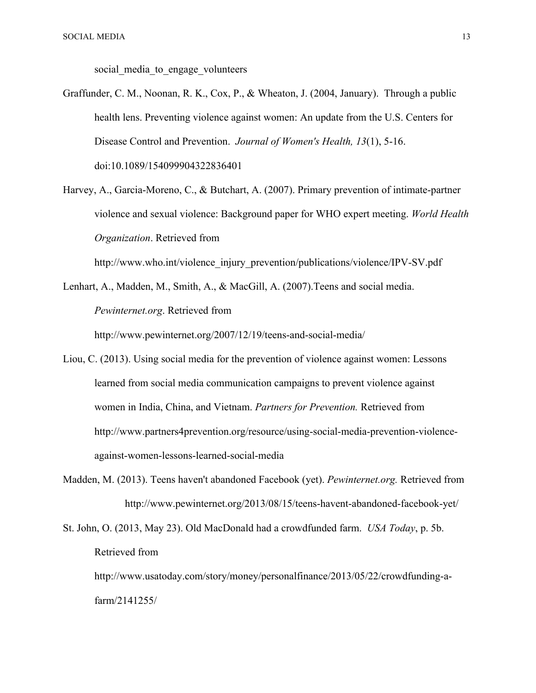social media to engage volunteers

- Graffunder, C. M., Noonan, R. K., Cox, P., & Wheaton, J. (2004, January). Through a public health lens. Preventing violence against women: An update from the U.S. Centers for Disease Control and Prevention. *Journal of Women's Health, 13*(1), 5-16. doi:10.1089/154099904322836401
- Harvey, A., Garcia-Moreno, C., & Butchart, A. (2007). Primary prevention of intimate-partner violence and sexual violence: Background paper for WHO expert meeting. *World Health Organization*. Retrieved from

http://www.who.int/violence\_injury\_prevention/publications/violence/IPV-SV.pdf

- Lenhart, A., Madden, M., Smith, A., & MacGill, A. (2007).Teens and social media. *Pewinternet.org*. Retrieved from http://www.pewinternet.org/2007/12/19/teens-and-social-media/
- Liou, C. (2013). Using social media for the prevention of violence against women: Lessons learned from social media communication campaigns to prevent violence against women in India, China, and Vietnam. *Partners for Prevention.* Retrieved from http://www.partners4prevention.org/resource/using-social-media-prevention-violenceagainst-women-lessons-learned-social-media
- Madden, M. (2013). Teens haven't abandoned Facebook (yet). *Pewinternet.org.* Retrieved from http://www.pewinternet.org/2013/08/15/teens-havent-abandoned-facebook-yet/
- St. John, O. (2013, May 23). Old MacDonald had a crowdfunded farm. *USA Today*, p. 5b. Retrieved from

http://www.usatoday.com/story/money/personalfinance/2013/05/22/crowdfunding-afarm/2141255/